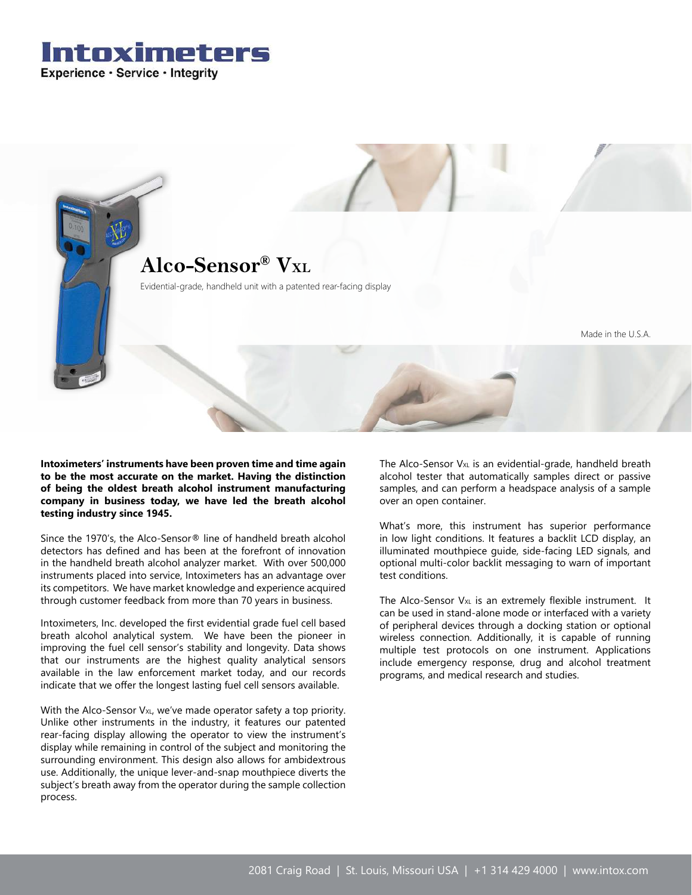



**Intoximeters' instruments have been proven time and time again to be the most accurate on the market. Having the distinction of being the oldest breath alcohol instrument manufacturing company in business today, we have led the breath alcohol testing industry since 1945.**

Since the 1970's, the Alco-Sensor® line of handheld breath alcohol detectors has defined and has been at the forefront of innovation in the handheld breath alcohol analyzer market. With over 500,000 instruments placed into service, Intoximeters has an advantage over its competitors. We have market knowledge and experience acquired through customer feedback from more than 70 years in business.

Intoximeters, Inc. developed the first evidential grade fuel cell based breath alcohol analytical system. We have been the pioneer in improving the fuel cell sensor's stability and longevity. Data shows that our instruments are the highest quality analytical sensors available in the law enforcement market today, and our records indicate that we offer the longest lasting fuel cell sensors available.

With the Alco-Sensor V<sub>XL</sub>, we've made operator safety a top priority. Unlike other instruments in the industry, it features our patented rear-facing display allowing the operator to view the instrument's display while remaining in control of the subject and monitoring the surrounding environment. This design also allows for ambidextrous use. Additionally, the unique lever-and-snap mouthpiece diverts the subject's breath away from the operator during the sample collection process.

The Alco-Sensor  $V_{XL}$  is an evidential-grade, handheld breath alcohol tester that automatically samples direct or passive samples, and can perform a headspace analysis of a sample over an open container.

What's more, this instrument has superior performance in low light conditions. It features a backlit LCD display, an illuminated mouthpiece guide, side-facing LED signals, and optional multi-color backlit messaging to warn of important test conditions.

The Alco-Sensor  $V_{XL}$  is an extremely flexible instrument. It can be used in stand-alone mode or interfaced with a variety of peripheral devices through a docking station or optional wireless connection. Additionally, it is capable of running multiple test protocols on one instrument. Applications include emergency response, drug and alcohol treatment programs, and medical research and studies.